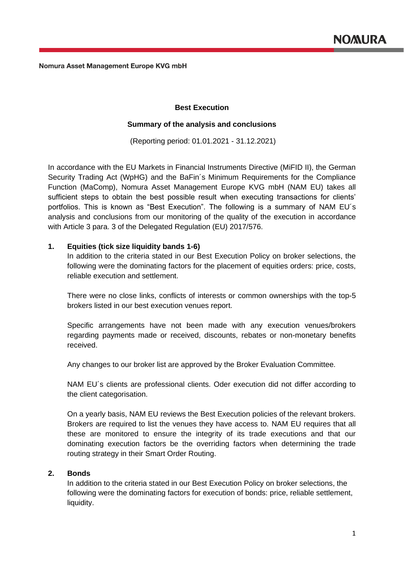# **Best Execution**

# **Summary of the analysis and conclusions**

(Reporting period: 01.01.2021 - 31.12.2021)

In accordance with the EU Markets in Financial Instruments Directive (MiFID II), the German Security Trading Act (WpHG) and the BaFin´s Minimum Requirements for the Compliance Function (MaComp), Nomura Asset Management Europe KVG mbH (NAM EU) takes all sufficient steps to obtain the best possible result when executing transactions for clients' portfolios. This is known as "Best Execution". The following is a summary of NAM EU´s analysis and conclusions from our monitoring of the quality of the execution in accordance with Article 3 para. 3 of the Delegated Regulation (EU) 2017/576.

# **1. Equities (tick size liquidity bands 1-6)**

In addition to the criteria stated in our Best Execution Policy on broker selections, the following were the dominating factors for the placement of equities orders: price, costs, reliable execution and settlement.

There were no close links, conflicts of interests or common ownerships with the top-5 brokers listed in our best execution venues report.

Specific arrangements have not been made with any execution venues/brokers regarding payments made or received, discounts, rebates or non-monetary benefits received.

Any changes to our broker list are approved by the Broker Evaluation Committee.

NAM EU´s clients are professional clients. Oder execution did not differ according to the client categorisation.

On a yearly basis, NAM EU reviews the Best Execution policies of the relevant brokers. Brokers are required to list the venues they have access to. NAM EU requires that all these are monitored to ensure the integrity of its trade executions and that our dominating execution factors be the overriding factors when determining the trade routing strategy in their Smart Order Routing.

# **2. Bonds**

In addition to the criteria stated in our Best Execution Policy on broker selections, the following were the dominating factors for execution of bonds: price, reliable settlement, liquidity.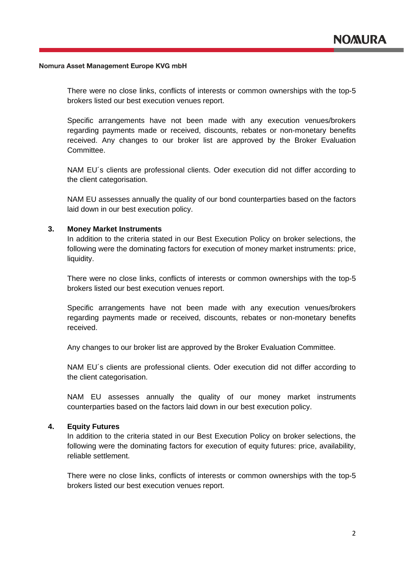There were no close links, conflicts of interests or common ownerships with the top-5 brokers listed our best execution venues report.

Specific arrangements have not been made with any execution venues/brokers regarding payments made or received, discounts, rebates or non-monetary benefits received. Any changes to our broker list are approved by the Broker Evaluation Committee.

NAM EU´s clients are professional clients. Oder execution did not differ according to the client categorisation.

NAM EU assesses annually the quality of our bond counterparties based on the factors laid down in our best execution policy.

### **3. Money Market Instruments**

In addition to the criteria stated in our Best Execution Policy on broker selections, the following were the dominating factors for execution of money market instruments: price, liquidity.

There were no close links, conflicts of interests or common ownerships with the top-5 brokers listed our best execution venues report.

Specific arrangements have not been made with any execution venues/brokers regarding payments made or received, discounts, rebates or non-monetary benefits received.

Any changes to our broker list are approved by the Broker Evaluation Committee.

NAM EU´s clients are professional clients. Oder execution did not differ according to the client categorisation.

NAM EU assesses annually the quality of our money market instruments counterparties based on the factors laid down in our best execution policy.

### **4. Equity Futures**

In addition to the criteria stated in our Best Execution Policy on broker selections, the following were the dominating factors for execution of equity futures: price, availability, reliable settlement.

There were no close links, conflicts of interests or common ownerships with the top-5 brokers listed our best execution venues report.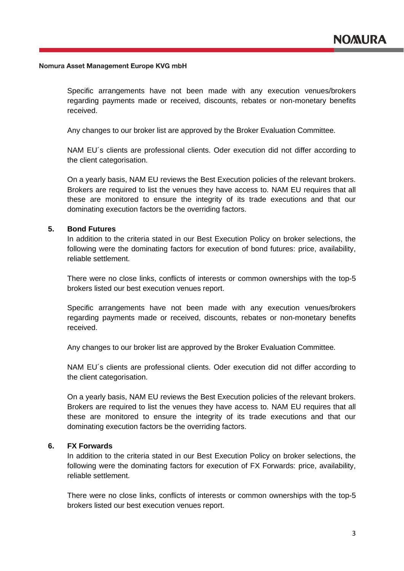Specific arrangements have not been made with any execution venues/brokers regarding payments made or received, discounts, rebates or non-monetary benefits received.

Any changes to our broker list are approved by the Broker Evaluation Committee.

NAM EU´s clients are professional clients. Oder execution did not differ according to the client categorisation.

On a yearly basis, NAM EU reviews the Best Execution policies of the relevant brokers. Brokers are required to list the venues they have access to. NAM EU requires that all these are monitored to ensure the integrity of its trade executions and that our dominating execution factors be the overriding factors.

# **5. Bond Futures**

In addition to the criteria stated in our Best Execution Policy on broker selections, the following were the dominating factors for execution of bond futures: price, availability, reliable settlement.

There were no close links, conflicts of interests or common ownerships with the top-5 brokers listed our best execution venues report.

Specific arrangements have not been made with any execution venues/brokers regarding payments made or received, discounts, rebates or non-monetary benefits received.

Any changes to our broker list are approved by the Broker Evaluation Committee.

NAM EU´s clients are professional clients. Oder execution did not differ according to the client categorisation.

On a yearly basis, NAM EU reviews the Best Execution policies of the relevant brokers. Brokers are required to list the venues they have access to. NAM EU requires that all these are monitored to ensure the integrity of its trade executions and that our dominating execution factors be the overriding factors.

# **6. FX Forwards**

In addition to the criteria stated in our Best Execution Policy on broker selections, the following were the dominating factors for execution of FX Forwards: price, availability, reliable settlement.

There were no close links, conflicts of interests or common ownerships with the top-5 brokers listed our best execution venues report.